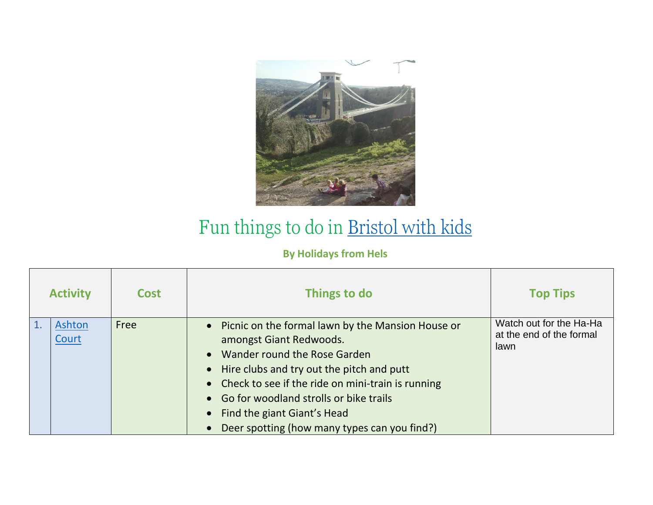

## Fun things to do in [Bristol with kids](https://www.holidaysfromhels.co.uk/2020/12/18/things-to-do-in-bristol-with-kids/)

## **By Holidays from Hels**

| <b>Activity</b> | <b>Cost</b> | Things to do                                                                                                                                                                                                                                                                                                                                    | <b>Top Tips</b>                                             |
|-----------------|-------------|-------------------------------------------------------------------------------------------------------------------------------------------------------------------------------------------------------------------------------------------------------------------------------------------------------------------------------------------------|-------------------------------------------------------------|
| Ashton<br>Court | Free        | • Picnic on the formal lawn by the Mansion House or<br>amongst Giant Redwoods.<br>Wander round the Rose Garden<br>• Hire clubs and try out the pitch and putt<br>• Check to see if the ride on mini-train is running<br>• Go for woodland strolls or bike trails<br>Find the giant Giant's Head<br>Deer spotting (how many types can you find?) | Watch out for the Ha-Ha<br>at the end of the formal<br>lawn |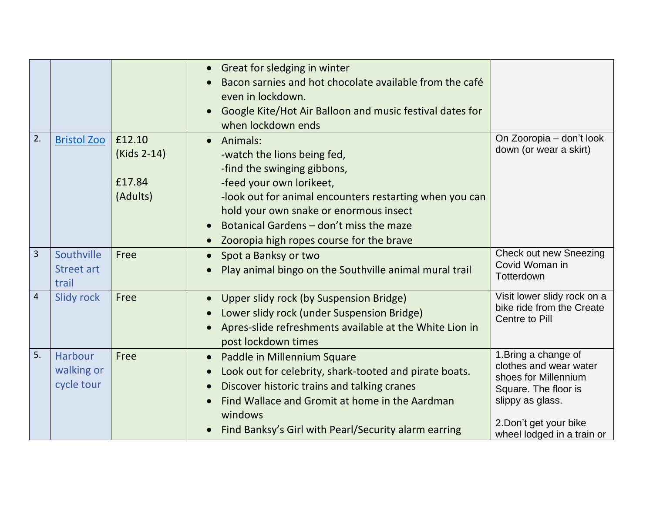|                |                                          |                                             | • Great for sledging in winter<br>Bacon sarnies and hot chocolate available from the café<br>even in lockdown.<br>Google Kite/Hot Air Balloon and music festival dates for<br>when lockdown ends                                                                                                 |                                                                                                                                                                            |
|----------------|------------------------------------------|---------------------------------------------|--------------------------------------------------------------------------------------------------------------------------------------------------------------------------------------------------------------------------------------------------------------------------------------------------|----------------------------------------------------------------------------------------------------------------------------------------------------------------------------|
| 2.             | <b>Bristol Zoo</b>                       | £12.10<br>(Kids 2-14)<br>£17.84<br>(Adults) | • Animals:<br>-watch the lions being fed,<br>-find the swinging gibbons,<br>-feed your own lorikeet,<br>-look out for animal encounters restarting when you can<br>hold your own snake or enormous insect<br>Botanical Gardens - don't miss the maze<br>Zooropia high ropes course for the brave | On Zooropia - don't look<br>down (or wear a skirt)                                                                                                                         |
| 3              | Southville<br><b>Street art</b><br>trail | Free                                        | Spot a Banksy or two<br>$\bullet$<br>Play animal bingo on the Southville animal mural trail                                                                                                                                                                                                      | <b>Check out new Sneezing</b><br>Covid Woman in<br>Totterdown                                                                                                              |
| $\overline{4}$ | <b>Slidy rock</b>                        | Free                                        | Upper slidy rock (by Suspension Bridge)<br>Lower slidy rock (under Suspension Bridge)<br>Apres-slide refreshments available at the White Lion in<br>post lockdown times                                                                                                                          | Visit lower slidy rock on a<br>bike ride from the Create<br><b>Centre to Pill</b>                                                                                          |
| 5.             | Harbour<br>walking or<br>cycle tour      | Free                                        | Paddle in Millennium Square<br>$\bullet$<br>Look out for celebrity, shark-tooted and pirate boats.<br>$\bullet$<br>Discover historic trains and talking cranes<br>Find Wallace and Gromit at home in the Aardman<br>windows<br>Find Banksy's Girl with Pearl/Security alarm earring              | 1. Bring a change of<br>clothes and wear water<br>shoes for Millennium<br>Square. The floor is<br>slippy as glass.<br>2. Don't get your bike<br>wheel lodged in a train or |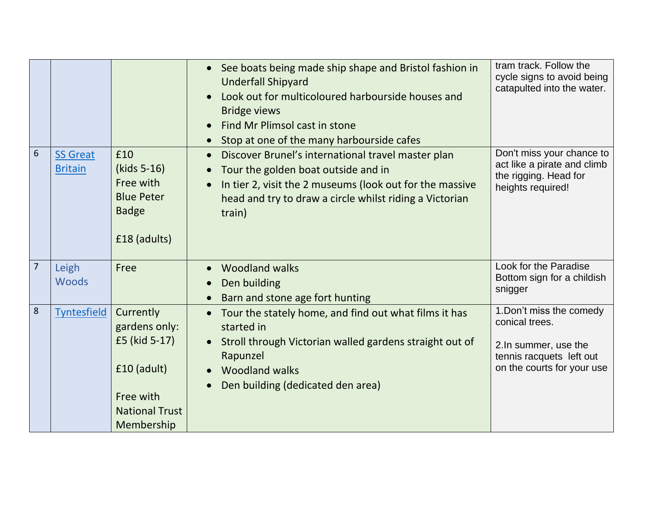| 6              | <b>SS Great</b><br><b>Britain</b> | £10<br>(kids 5-16)                                                                                             | • See boats being made ship shape and Bristol fashion in<br><b>Underfall Shipyard</b><br>Look out for multicoloured harbourside houses and<br><b>Bridge views</b><br>Find Mr Plimsol cast in stone<br>Stop at one of the many harbourside cafes<br>Discover Brunel's international travel master plan<br>Tour the golden boat outside and in | tram track. Follow the<br>cycle signs to avoid being<br>catapulted into the water.<br>Don't miss your chance to<br>act like a pirate and climb |
|----------------|-----------------------------------|----------------------------------------------------------------------------------------------------------------|----------------------------------------------------------------------------------------------------------------------------------------------------------------------------------------------------------------------------------------------------------------------------------------------------------------------------------------------|------------------------------------------------------------------------------------------------------------------------------------------------|
|                |                                   | Free with<br><b>Blue Peter</b><br><b>Badge</b><br>£18 (adults)                                                 | In tier 2, visit the 2 museums (look out for the massive<br>head and try to draw a circle whilst riding a Victorian<br>train)                                                                                                                                                                                                                | the rigging. Head for<br>heights required!                                                                                                     |
| $\overline{7}$ | Leigh<br><b>Woods</b>             | Free                                                                                                           | <b>Woodland walks</b><br>Den building<br>Barn and stone age fort hunting                                                                                                                                                                                                                                                                     | Look for the Paradise<br>Bottom sign for a childish<br>snigger                                                                                 |
| 8              | <b>Tyntesfield</b>                | Currently<br>gardens only:<br>£5 (kid 5-17)<br>£10 (adult)<br>Free with<br><b>National Trust</b><br>Membership | Tour the stately home, and find out what films it has<br>started in<br>Stroll through Victorian walled gardens straight out of<br>Rapunzel<br><b>Woodland walks</b><br>Den building (dedicated den area)                                                                                                                                     | 1. Don't miss the comedy<br>conical trees.<br>2.In summer, use the<br>tennis racquets left out<br>on the courts for your use                   |